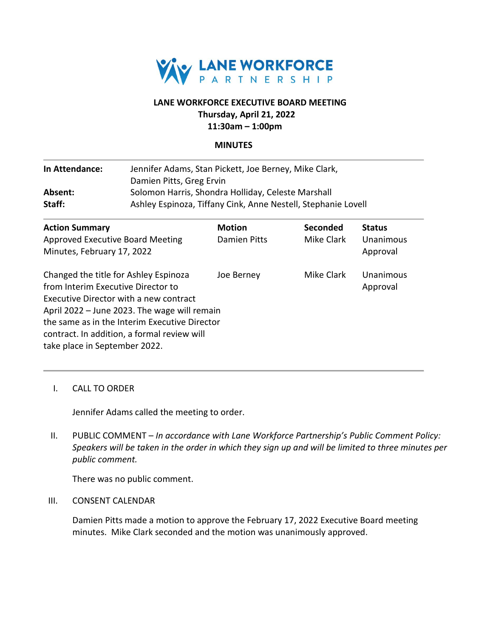

# **LANE WORKFORCE EXECUTIVE BOARD MEETING Thursday, April 21, 2022**

**11:30am – 1:00pm**

### **MINUTES**

| In Attendance:<br>Absent:                                                                                    | Jennifer Adams, Stan Pickett, Joe Berney, Mike Clark,<br>Damien Pitts, Greg Ervin<br>Solomon Harris, Shondra Holliday, Celeste Marshall<br>Ashley Espinoza, Tiffany Cink, Anne Nestell, Stephanie Lovell |               |                 |                       |
|--------------------------------------------------------------------------------------------------------------|----------------------------------------------------------------------------------------------------------------------------------------------------------------------------------------------------------|---------------|-----------------|-----------------------|
| Staff:                                                                                                       |                                                                                                                                                                                                          |               |                 |                       |
| <b>Action Summary</b>                                                                                        |                                                                                                                                                                                                          | <b>Motion</b> | <b>Seconded</b> | <b>Status</b>         |
| Approved Executive Board Meeting                                                                             |                                                                                                                                                                                                          | Damien Pitts  | Mike Clark      | Unanimous             |
| Minutes, February 17, 2022                                                                                   |                                                                                                                                                                                                          |               |                 | Approval              |
| Changed the title for Ashley Espinoza<br>from Interim Executive Director to<br>take place in September 2022. | Executive Director with a new contract<br>April 2022 – June 2023. The wage will remain<br>the same as in the Interim Executive Director<br>contract. In addition, a formal review will                   | Joe Berney    | Mike Clark      | Unanimous<br>Approval |

#### I. CALL TO ORDER

Jennifer Adams called the meeting to order.

II. PUBLIC COMMENT – *In accordance with Lane Workforce Partnership's Public Comment Policy: Speakers will be taken in the order in which they sign up and will be limited to three minutes per public comment.*

There was no public comment.

# III. CONSENT CALENDAR

Damien Pitts made a motion to approve the February 17, 2022 Executive Board meeting minutes. Mike Clark seconded and the motion was unanimously approved.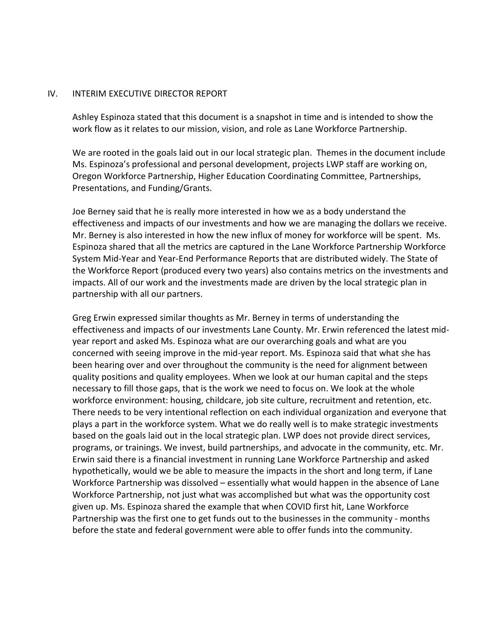#### IV. INTERIM EXECUTIVE DIRECTOR REPORT

Ashley Espinoza stated that this document is a snapshot in time and is intended to show the work flow as it relates to our mission, vision, and role as Lane Workforce Partnership.

We are rooted in the goals laid out in our local strategic plan. Themes in the document include Ms. Espinoza's professional and personal development, projects LWP staff are working on, Oregon Workforce Partnership, Higher Education Coordinating Committee, Partnerships, Presentations, and Funding/Grants.

Joe Berney said that he is really more interested in how we as a body understand the effectiveness and impacts of our investments and how we are managing the dollars we receive. Mr. Berney is also interested in how the new influx of money for workforce will be spent. Ms. Espinoza shared that all the metrics are captured in the Lane Workforce Partnership Workforce System Mid-Year and Year-End Performance Reports that are distributed widely. The State of the Workforce Report (produced every two years) also contains metrics on the investments and impacts. All of our work and the investments made are driven by the local strategic plan in partnership with all our partners.

Greg Erwin expressed similar thoughts as Mr. Berney in terms of understanding the effectiveness and impacts of our investments Lane County. Mr. Erwin referenced the latest midyear report and asked Ms. Espinoza what are our overarching goals and what are you concerned with seeing improve in the mid-year report. Ms. Espinoza said that what she has been hearing over and over throughout the community is the need for alignment between quality positions and quality employees. When we look at our human capital and the steps necessary to fill those gaps, that is the work we need to focus on. We look at the whole workforce environment: housing, childcare, job site culture, recruitment and retention, etc. There needs to be very intentional reflection on each individual organization and everyone that plays a part in the workforce system. What we do really well is to make strategic investments based on the goals laid out in the local strategic plan. LWP does not provide direct services, programs, or trainings. We invest, build partnerships, and advocate in the community, etc. Mr. Erwin said there is a financial investment in running Lane Workforce Partnership and asked hypothetically, would we be able to measure the impacts in the short and long term, if Lane Workforce Partnership was dissolved – essentially what would happen in the absence of Lane Workforce Partnership, not just what was accomplished but what was the opportunity cost given up. Ms. Espinoza shared the example that when COVID first hit, Lane Workforce Partnership was the first one to get funds out to the businesses in the community - months before the state and federal government were able to offer funds into the community.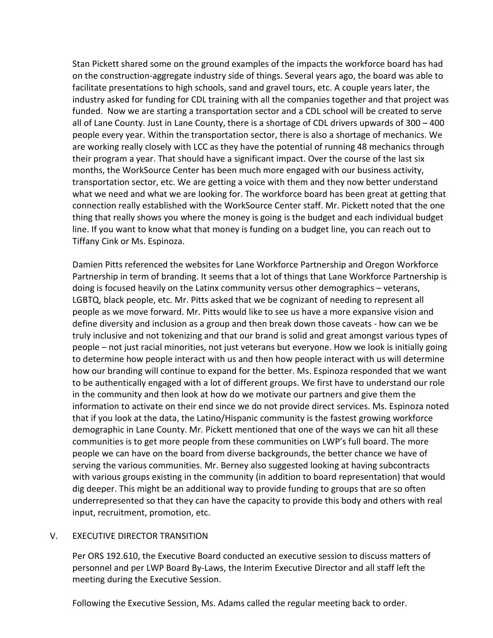Stan Pickett shared some on the ground examples of the impacts the workforce board has had on the construction-aggregate industry side of things. Several years ago, the board was able to facilitate presentations to high schools, sand and gravel tours, etc. A couple years later, the industry asked for funding for CDL training with all the companies together and that project was funded. Now we are starting a transportation sector and a CDL school will be created to serve all of Lane County. Just in Lane County, there is a shortage of CDL drivers upwards of 300 – 400 people every year. Within the transportation sector, there is also a shortage of mechanics. We are working really closely with LCC as they have the potential of running 48 mechanics through their program a year. That should have a significant impact. Over the course of the last six months, the WorkSource Center has been much more engaged with our business activity, transportation sector, etc. We are getting a voice with them and they now better understand what we need and what we are looking for. The workforce board has been great at getting that connection really established with the WorkSource Center staff. Mr. Pickett noted that the one thing that really shows you where the money is going is the budget and each individual budget line. If you want to know what that money is funding on a budget line, you can reach out to Tiffany Cink or Ms. Espinoza.

Damien Pitts referenced the websites for Lane Workforce Partnership and Oregon Workforce Partnership in term of branding. It seems that a lot of things that Lane Workforce Partnership is doing is focused heavily on the Latinx community versus other demographics – veterans, LGBTQ, black people, etc. Mr. Pitts asked that we be cognizant of needing to represent all people as we move forward. Mr. Pitts would like to see us have a more expansive vision and define diversity and inclusion as a group and then break down those caveats - how can we be truly inclusive and not tokenizing and that our brand is solid and great amongst various types of people – not just racial minorities, not just veterans but everyone. How we look is initially going to determine how people interact with us and then how people interact with us will determine how our branding will continue to expand for the better. Ms. Espinoza responded that we want to be authentically engaged with a lot of different groups. We first have to understand our role in the community and then look at how do we motivate our partners and give them the information to activate on their end since we do not provide direct services. Ms. Espinoza noted that if you look at the data, the Latino/Hispanic community is the fastest growing workforce demographic in Lane County. Mr. Pickett mentioned that one of the ways we can hit all these communities is to get more people from these communities on LWP's full board. The more people we can have on the board from diverse backgrounds, the better chance we have of serving the various communities. Mr. Berney also suggested looking at having subcontracts with various groups existing in the community (in addition to board representation) that would dig deeper. This might be an additional way to provide funding to groups that are so often underrepresented so that they can have the capacity to provide this body and others with real input, recruitment, promotion, etc.

# V. EXECUTIVE DIRECTOR TRANSITION

Per ORS 192.610, the Executive Board conducted an executive session to discuss matters of personnel and per LWP Board By-Laws, the Interim Executive Director and all staff left the meeting during the Executive Session.

Following the Executive Session, Ms. Adams called the regular meeting back to order.